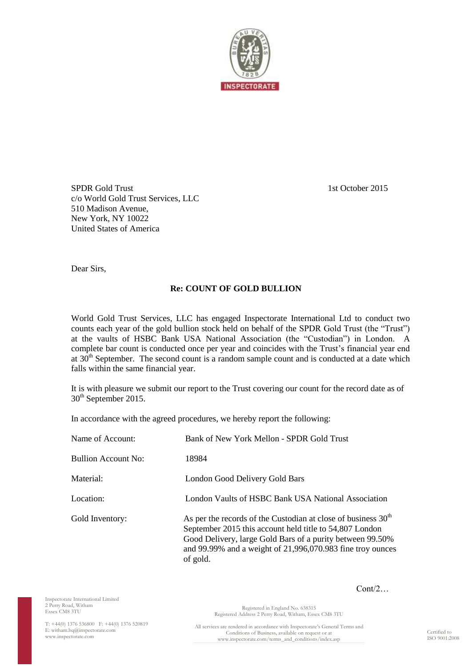

SPDR Gold Trust 1st October 2015 c/o World Gold Trust Services, LLC 510 Madison Avenue, New York, NY 10022 United States of America

Dear Sirs,

## **Re: COUNT OF GOLD BULLION**

World Gold Trust Services, LLC has engaged Inspectorate International Ltd to conduct two counts each year of the gold bullion stock held on behalf of the SPDR Gold Trust (the "Trust") at the vaults of HSBC Bank USA National Association (the "Custodian") in London. A complete bar count is conducted once per year and coincides with the Trust's financial year end at  $30<sup>th</sup>$  September. The second count is a random sample count and is conducted at a date which falls within the same financial year.

It is with pleasure we submit our report to the Trust covering our count for the record date as of 30<sup>th</sup> September 2015.

In accordance with the agreed procedures, we hereby report the following:

| Name of Account:           | Bank of New York Mellon - SPDR Gold Trust                                                                                                                                                                                                                         |
|----------------------------|-------------------------------------------------------------------------------------------------------------------------------------------------------------------------------------------------------------------------------------------------------------------|
| <b>Bullion Account No:</b> | 18984                                                                                                                                                                                                                                                             |
| Material:                  | London Good Delivery Gold Bars                                                                                                                                                                                                                                    |
| Location:                  | London Vaults of HSBC Bank USA National Association                                                                                                                                                                                                               |
| Gold Inventory:            | As per the records of the Custodian at close of business $30th$<br>September 2015 this account held title to 54,807 London<br>Good Delivery, large Gold Bars of a purity between 99.50%<br>and 99.99% and a weight of 21,996,070.983 fine troy ounces<br>of gold. |

Inspectorate International Limited 2 Perry Road, Witham Essex CM8 3TU

Cont/2…

T: +44(0) 1376 536800 F: +44(0) 1376 520819 E[: witham.hq@inspectorate.com](mailto:witham.hq@inspectorate.com) [www.inspectorate.com](http://www.inspectorate.com/)

Registered Address 2 Perry Road, Witham, Essex CM8 3TU All services are rendered in accordance with Inspectorate's General Terms and Conditions of Business, available on request or at www.inspectorate.com/terms\_and\_conditions/index.asp

Registered in England No. 638315